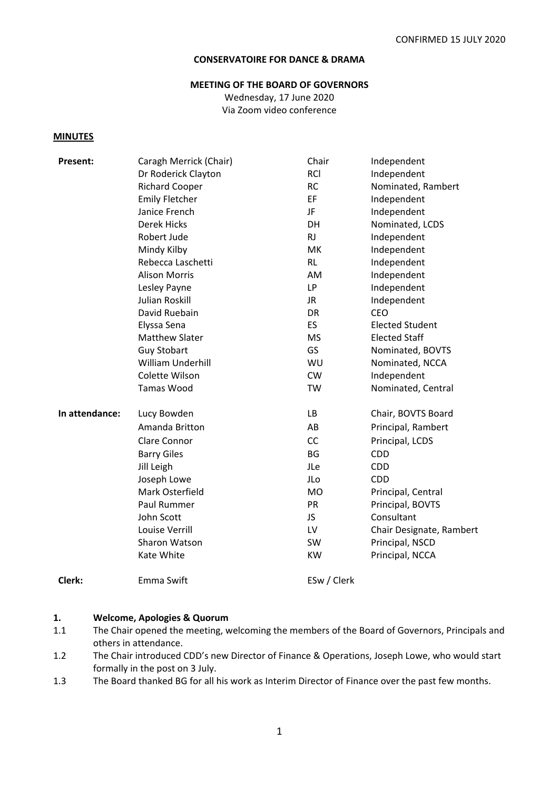#### **CONSERVATOIRE FOR DANCE & DRAMA**

#### **MEETING OF THE BOARD OF GOVERNORS**

Wednesday, 17 June 2020 Via Zoom video conference

#### **MINUTES**

| Present:       | Caragh Merrick (Chair) | Chair       | Independent              |
|----------------|------------------------|-------------|--------------------------|
|                | Dr Roderick Clayton    | <b>RCI</b>  | Independent              |
|                | <b>Richard Cooper</b>  | <b>RC</b>   | Nominated, Rambert       |
|                | <b>Emily Fletcher</b>  | EF          | Independent              |
|                | Janice French          | JF          | Independent              |
|                | <b>Derek Hicks</b>     | DH          | Nominated, LCDS          |
|                | Robert Jude            | RJ          | Independent              |
|                | Mindy Kilby            | МK          | Independent              |
|                | Rebecca Laschetti      | <b>RL</b>   | Independent              |
|                | <b>Alison Morris</b>   | AM          | Independent              |
|                | Lesley Payne           | <b>LP</b>   | Independent              |
|                | <b>Julian Roskill</b>  | JR.         | Independent              |
|                | David Ruebain          | <b>DR</b>   | <b>CEO</b>               |
|                | Elyssa Sena            | ES          | <b>Elected Student</b>   |
|                | <b>Matthew Slater</b>  | <b>MS</b>   | <b>Elected Staff</b>     |
|                | <b>Guy Stobart</b>     | GS          | Nominated, BOVTS         |
|                | William Underhill      | WU          | Nominated, NCCA          |
|                | Colette Wilson         | <b>CW</b>   | Independent              |
|                | <b>Tamas Wood</b>      | TW          | Nominated, Central       |
| In attendance: | Lucy Bowden            | LB          | Chair, BOVTS Board       |
|                | Amanda Britton         | AB          | Principal, Rambert       |
|                | Clare Connor           | CC          | Principal, LCDS          |
|                | <b>Barry Giles</b>     | <b>BG</b>   | <b>CDD</b>               |
|                | Jill Leigh             | JLe         | <b>CDD</b>               |
|                | Joseph Lowe            | JLo         | <b>CDD</b>               |
|                | Mark Osterfield        | <b>MO</b>   | Principal, Central       |
|                | Paul Rummer            | PR          | Principal, BOVTS         |
|                | John Scott             | JS.         | Consultant               |
|                | Louise Verrill         | LV          | Chair Designate, Rambert |
|                | Sharon Watson          | SW          | Principal, NSCD          |
|                | Kate White             | <b>KW</b>   | Principal, NCCA          |
| Clerk:         | Emma Swift             | ESw / Clerk |                          |

#### **1. Welcome, Apologies & Quorum**

- 1.1 The Chair opened the meeting, welcoming the members of the Board of Governors, Principals and others in attendance.
- 1.2 The Chair introduced CDD's new Director of Finance & Operations, Joseph Lowe, who would start formally in the post on 3 July.
- 1.3 The Board thanked BG for all his work as Interim Director of Finance over the past few months.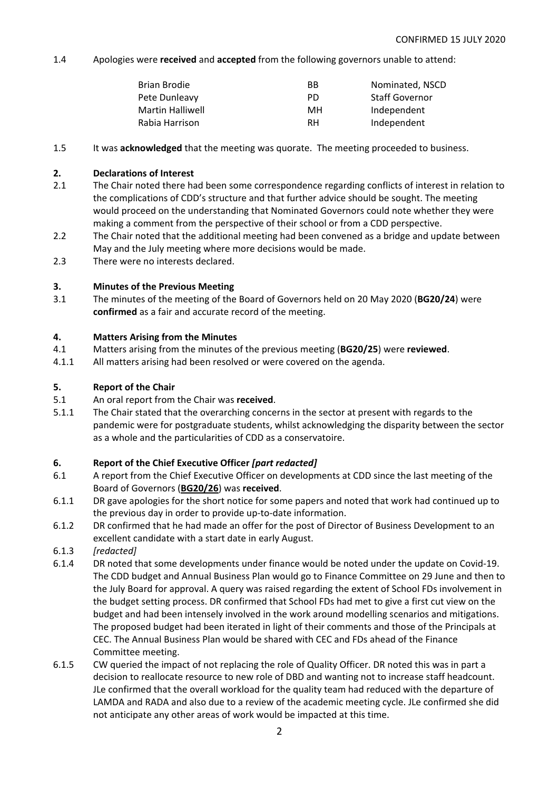1.4 Apologies were **received** and **accepted** from the following governors unable to attend:

| Brian Brodie     | ВB  | Nominated, NSCD       |
|------------------|-----|-----------------------|
| Pete Dunleavy    | PD. | <b>Staff Governor</b> |
| Martin Halliwell | MН  | Independent           |
| Rabia Harrison   | RH  | Independent           |
|                  |     |                       |

1.5 It was **acknowledged** that the meeting was quorate. The meeting proceeded to business.

# **2. Declarations of Interest**

- 2.1 The Chair noted there had been some correspondence regarding conflicts of interest in relation to the complications of CDD's structure and that further advice should be sought. The meeting would proceed on the understanding that Nominated Governors could note whether they were making a comment from the perspective of their school or from a CDD perspective.
- 2.2 The Chair noted that the additional meeting had been convened as a bridge and update between May and the July meeting where more decisions would be made.
- 2.3 There were no interests declared.

## **3. Minutes of the Previous Meeting**

3.1 The minutes of the meeting of the Board of Governors held on 20 May 2020 (**BG20/24**) were **confirmed** as a fair and accurate record of the meeting.

#### **4. Matters Arising from the Minutes**

- 4.1 Matters arising from the minutes of the previous meeting (**BG20/25**) were **reviewed**.
- 4.1.1 All matters arising had been resolved or were covered on the agenda.

## **5. Report of the Chair**

- 5.1 An oral report from the Chair was **received**.
- 5.1.1 The Chair stated that the overarching concerns in the sector at present with regards to the pandemic were for postgraduate students, whilst acknowledging the disparity between the sector as a whole and the particularities of CDD as a conservatoire.

# **6. Report of the Chief Executive Officer** *[part redacted]*

- 6.1 A report from the Chief Executive Officer on developments at CDD since the last meeting of the Board of Governors (**BG20/26**) was **received**.
- 6.1.1 DR gave apologies for the short notice for some papers and noted that work had continued up to the previous day in order to provide up-to-date information.
- 6.1.2 DR confirmed that he had made an offer for the post of Director of Business Development to an excellent candidate with a start date in early August.
- 6.1.3 *[redacted]*
- 6.1.4 DR noted that some developments under finance would be noted under the update on Covid-19. The CDD budget and Annual Business Plan would go to Finance Committee on 29 June and then to the July Board for approval. A query was raised regarding the extent of School FDs involvement in the budget setting process. DR confirmed that School FDs had met to give a first cut view on the budget and had been intensely involved in the work around modelling scenarios and mitigations. The proposed budget had been iterated in light of their comments and those of the Principals at CEC. The Annual Business Plan would be shared with CEC and FDs ahead of the Finance Committee meeting.
- 6.1.5 CW queried the impact of not replacing the role of Quality Officer. DR noted this was in part a decision to reallocate resource to new role of DBD and wanting not to increase staff headcount. JLe confirmed that the overall workload for the quality team had reduced with the departure of LAMDA and RADA and also due to a review of the academic meeting cycle. JLe confirmed she did not anticipate any other areas of work would be impacted at this time.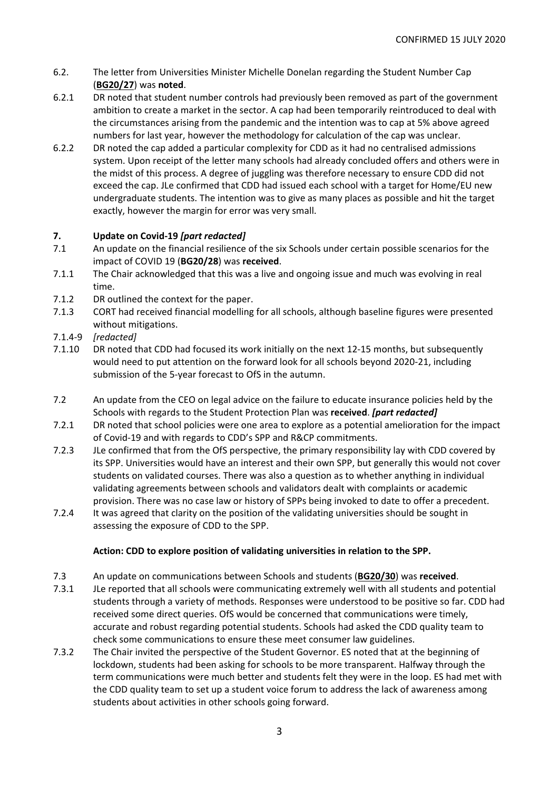- 6.2. The letter from Universities Minister Michelle Donelan regarding the Student Number Cap (**BG20/27**) was **noted**.
- 6.2.1 DR noted that student number controls had previously been removed as part of the government ambition to create a market in the sector. A cap had been temporarily reintroduced to deal with the circumstances arising from the pandemic and the intention was to cap at 5% above agreed numbers for last year, however the methodology for calculation of the cap was unclear.
- 6.2.2 DR noted the cap added a particular complexity for CDD as it had no centralised admissions system. Upon receipt of the letter many schools had already concluded offers and others were in the midst of this process. A degree of juggling was therefore necessary to ensure CDD did not exceed the cap. JLe confirmed that CDD had issued each school with a target for Home/EU new undergraduate students. The intention was to give as many places as possible and hit the target exactly, however the margin for error was very small.

# **7. Update on Covid-19** *[part redacted]*

- 7.1 An update on the financial resilience of the six Schools under certain possible scenarios for the impact of COVID 19 (**BG20/28**) was **received**.
- 7.1.1 The Chair acknowledged that this was a live and ongoing issue and much was evolving in real time.
- 7.1.2 DR outlined the context for the paper.
- 7.1.3 CORT had received financial modelling for all schools, although baseline figures were presented without mitigations.
- 7.1.4-9 *[redacted]*
- 7.1.10 DR noted that CDD had focused its work initially on the next 12-15 months, but subsequently would need to put attention on the forward look for all schools beyond 2020-21, including submission of the 5-year forecast to OfS in the autumn.
- 7.2 An update from the CEO on legal advice on the failure to educate insurance policies held by the Schools with regards to the Student Protection Plan was **received**. *[part redacted]*
- 7.2.1 DR noted that school policies were one area to explore as a potential amelioration for the impact of Covid-19 and with regards to CDD's SPP and R&CP commitments.
- 7.2.3 JLe confirmed that from the OfS perspective, the primary responsibility lay with CDD covered by its SPP. Universities would have an interest and their own SPP, but generally this would not cover students on validated courses. There was also a question as to whether anything in individual validating agreements between schools and validators dealt with complaints or academic provision. There was no case law or history of SPPs being invoked to date to offer a precedent.
- 7.2.4 It was agreed that clarity on the position of the validating universities should be sought in assessing the exposure of CDD to the SPP.

# **Action: CDD to explore position of validating universities in relation to the SPP.**

- 7.3 An update on communications between Schools and students (**BG20/30**) was **received**.
- 7.3.1 JLe reported that all schools were communicating extremely well with all students and potential students through a variety of methods. Responses were understood to be positive so far. CDD had received some direct queries. OfS would be concerned that communications were timely, accurate and robust regarding potential students. Schools had asked the CDD quality team to check some communications to ensure these meet consumer law guidelines.
- 7.3.2 The Chair invited the perspective of the Student Governor. ES noted that at the beginning of lockdown, students had been asking for schools to be more transparent. Halfway through the term communications were much better and students felt they were in the loop. ES had met with the CDD quality team to set up a student voice forum to address the lack of awareness among students about activities in other schools going forward.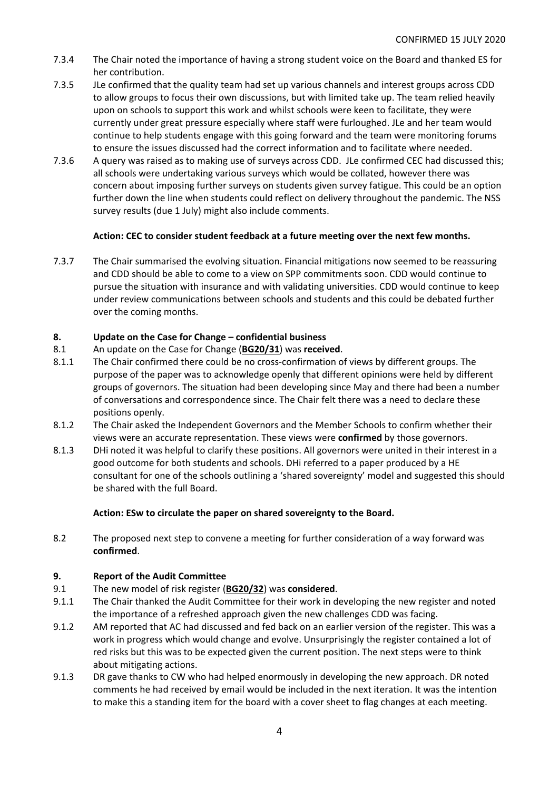- 7.3.4 The Chair noted the importance of having a strong student voice on the Board and thanked ES for her contribution.
- 7.3.5 JLe confirmed that the quality team had set up various channels and interest groups across CDD to allow groups to focus their own discussions, but with limited take up. The team relied heavily upon on schools to support this work and whilst schools were keen to facilitate, they were currently under great pressure especially where staff were furloughed. JLe and her team would continue to help students engage with this going forward and the team were monitoring forums to ensure the issues discussed had the correct information and to facilitate where needed.
- 7.3.6 A query was raised as to making use of surveys across CDD. JLe confirmed CEC had discussed this; all schools were undertaking various surveys which would be collated, however there was concern about imposing further surveys on students given survey fatigue. This could be an option further down the line when students could reflect on delivery throughout the pandemic. The NSS survey results (due 1 July) might also include comments.

# **Action: CEC to consider student feedback at a future meeting over the next few months.**

7.3.7 The Chair summarised the evolving situation. Financial mitigations now seemed to be reassuring and CDD should be able to come to a view on SPP commitments soon. CDD would continue to pursue the situation with insurance and with validating universities. CDD would continue to keep under review communications between schools and students and this could be debated further over the coming months.

# **8. Update on the Case for Change – confidential business**

- 8.1 An update on the Case for Change (**BG20/31**) was **received**.
- 8.1.1 The Chair confirmed there could be no cross-confirmation of views by different groups. The purpose of the paper was to acknowledge openly that different opinions were held by different groups of governors. The situation had been developing since May and there had been a number of conversations and correspondence since. The Chair felt there was a need to declare these positions openly.
- 8.1.2 The Chair asked the Independent Governors and the Member Schools to confirm whether their views were an accurate representation. These views were **confirmed** by those governors.
- 8.1.3 DHi noted it was helpful to clarify these positions. All governors were united in their interest in a good outcome for both students and schools. DHi referred to a paper produced by a HE consultant for one of the schools outlining a 'shared sovereignty' model and suggested this should be shared with the full Board.

#### **Action: ESw to circulate the paper on shared sovereignty to the Board.**

8.2 The proposed next step to convene a meeting for further consideration of a way forward was **confirmed**.

#### **9. Report of the Audit Committee**

- 9.1 The new model of risk register (**BG20/32**) was **considered**.
- 9.1.1 The Chair thanked the Audit Committee for their work in developing the new register and noted the importance of a refreshed approach given the new challenges CDD was facing.
- 9.1.2 AM reported that AC had discussed and fed back on an earlier version of the register. This was a work in progress which would change and evolve. Unsurprisingly the register contained a lot of red risks but this was to be expected given the current position. The next steps were to think about mitigating actions.
- 9.1.3 DR gave thanks to CW who had helped enormously in developing the new approach. DR noted comments he had received by email would be included in the next iteration. It was the intention to make this a standing item for the board with a cover sheet to flag changes at each meeting.